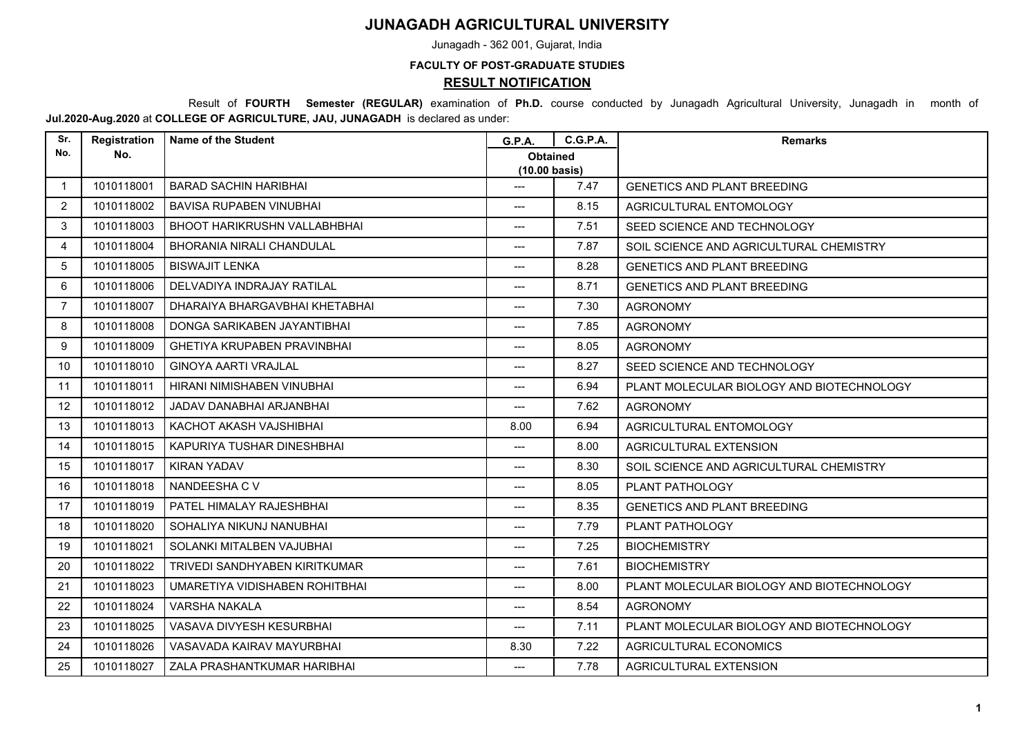## **JUNAGADH AGRICULTURAL UNIVERSITY**

Junagadh - 362 001, Gujarat, India

## **FACULTY OF POST-GRADUATE STUDIES**

**RESULT NOTIFICATION**

 Result of **FOURTH Semester (REGULAR)** examination of **Ph.D.** course conducted by Junagadh Agricultural University, Junagadh in month of **Jul.2020-Aug.2020** at **COLLEGE OF AGRICULTURE, JAU, JUNAGADH** is declared as under:

| Sr.               | Registration | <b>Name of the Student</b>          | <b>G.P.A.</b>                              | <b>C.G.P.A.</b> | <b>Remarks</b>                            |
|-------------------|--------------|-------------------------------------|--------------------------------------------|-----------------|-------------------------------------------|
| No.               | No.          |                                     | <b>Obtained</b><br>$(10.00 \text{ basis})$ |                 |                                           |
| $\mathbf{1}$      | 1010118001   | <b>BARAD SACHIN HARIBHAI</b>        | ---                                        | 7.47            | <b>GENETICS AND PLANT BREEDING</b>        |
| $\overline{2}$    | 1010118002   | <b>BAVISA RUPABEN VINUBHAI</b>      | $---$                                      | 8.15            | AGRICULTURAL ENTOMOLOGY                   |
| 3                 | 1010118003   | <b>BHOOT HARIKRUSHN VALLABHBHAI</b> | ---                                        | 7.51            | SEED SCIENCE AND TECHNOLOGY               |
| 4                 | 1010118004   | <b>BHORANIA NIRALI CHANDULAL</b>    | ---                                        | 7.87            | SOIL SCIENCE AND AGRICULTURAL CHEMISTRY   |
| 5                 | 1010118005   | <b>BISWAJIT LENKA</b>               | ---                                        | 8.28            | <b>GENETICS AND PLANT BREEDING</b>        |
| 6                 | 1010118006   | DELVADIYA INDRAJAY RATILAL          | ---                                        | 8.71            | <b>GENETICS AND PLANT BREEDING</b>        |
| $\overline{7}$    | 1010118007   | DHARAIYA BHARGAVBHAI KHETABHAI      | $---$                                      | 7.30            | <b>AGRONOMY</b>                           |
| 8                 | 1010118008   | DONGA SARIKABEN JAYANTIBHAI         | ---                                        | 7.85            | <b>AGRONOMY</b>                           |
| 9                 | 1010118009   | <b>GHETIYA KRUPABEN PRAVINBHAI</b>  | ---                                        | 8.05            | <b>AGRONOMY</b>                           |
| 10                | 1010118010   | <b>GINOYA AARTI VRAJLAL</b>         | $---$                                      | 8.27            | SEED SCIENCE AND TECHNOLOGY               |
| 11                | 1010118011   | HIRANI NIMISHABEN VINUBHAI          | ---                                        | 6.94            | PLANT MOLECULAR BIOLOGY AND BIOTECHNOLOGY |
| $12 \overline{ }$ | 1010118012   | JADAV DANABHAI ARJANBHAI            | ---                                        | 7.62            | <b>AGRONOMY</b>                           |
| 13                | 1010118013   | KACHOT AKASH VAJSHIBHAI             | 8.00                                       | 6.94            | AGRICULTURAL ENTOMOLOGY                   |
| 14                | 1010118015   | KAPURIYA TUSHAR DINESHBHAI          | $---$                                      | 8.00            | AGRICULTURAL EXTENSION                    |
| 15                | 1010118017   | <b>KIRAN YADAV</b>                  | ---                                        | 8.30            | SOIL SCIENCE AND AGRICULTURAL CHEMISTRY   |
| 16                | 1010118018   | NANDEESHA C V                       | ---                                        | 8.05            | PLANT PATHOLOGY                           |
| 17                | 1010118019   | PATEL HIMALAY RAJESHBHAI            | ---                                        | 8.35            | <b>GENETICS AND PLANT BREEDING</b>        |
| 18                | 1010118020   | SOHALIYA NIKUNJ NANUBHAI            | $---$                                      | 7.79            | PLANT PATHOLOGY                           |
| 19                | 1010118021   | SOLANKI MITALBEN VAJUBHAI           | ---                                        | 7.25            | <b>BIOCHEMISTRY</b>                       |
| 20                | 1010118022   | TRIVEDI SANDHYABEN KIRITKUMAR       | ---                                        | 7.61            | <b>BIOCHEMISTRY</b>                       |
| 21                | 1010118023   | UMARETIYA VIDISHABEN ROHITBHAI      | ---                                        | 8.00            | PLANT MOLECULAR BIOLOGY AND BIOTECHNOLOGY |
| 22                | 1010118024   | VARSHA NAKALA                       | $---$                                      | 8.54            | <b>AGRONOMY</b>                           |
| 23                | 1010118025   | VASAVA DIVYESH KESURBHAI            | ---                                        | 7.11            | PLANT MOLECULAR BIOLOGY AND BIOTECHNOLOGY |
| 24                | 1010118026   | VASAVADA KAIRAV MAYURBHAI           | 8.30                                       | 7.22            | AGRICULTURAL ECONOMICS                    |
| 25                | 1010118027   | ZALA PRASHANTKUMAR HARIBHAI         | $---$                                      | 7.78            | AGRICULTURAL EXTENSION                    |